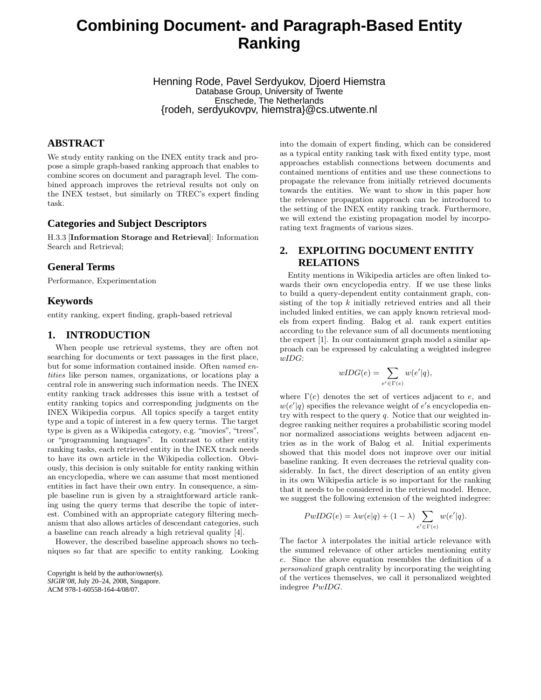# **Combining Document- and Paragraph-Based Entity Ranking**

Henning Rode, Pavel Serdyukov, Djoerd Hiemstra Database Group, University of Twente Enschede, The Netherlands {rodeh, serdyukovpv, hiemstra}@cs.utwente.nl

# **ABSTRACT**

We study entity ranking on the INEX entity track and propose a simple graph-based ranking approach that enables to combine scores on document and paragraph level. The combined approach improves the retrieval results not only on the INEX testset, but similarly on TREC's expert finding task.

# **Categories and Subject Descriptors**

H.3.3 [Information Storage and Retrieval]: Information Search and Retrieval;

## **General Terms**

Performance, Experimentation

## **Keywords**

entity ranking, expert finding, graph-based retrieval

# **1. INTRODUCTION**

When people use retrieval systems, they are often not searching for documents or text passages in the first place, but for some information contained inside. Often named entities like person names, organizations, or locations play a central role in answering such information needs. The INEX entity ranking track addresses this issue with a testset of entity ranking topics and corresponding judgments on the INEX Wikipedia corpus. All topics specify a target entity type and a topic of interest in a few query terms. The target type is given as a Wikipedia category, e.g. "movies", "trees", or "programming languages". In contrast to other entity ranking tasks, each retrieved entity in the INEX track needs to have its own article in the Wikipedia collection. Obviously, this decision is only suitable for entity ranking within an encyclopedia, where we can assume that most mentioned entities in fact have their own entry. In consequence, a simple baseline run is given by a straightforward article ranking using the query terms that describe the topic of interest. Combined with an appropriate category filtering mechanism that also allows articles of descendant categories, such a baseline can reach already a high retrieval quality [4].

However, the described baseline approach shows no techniques so far that are specific to entity ranking. Looking

Copyright is held by the author/owner(s). *SIGIR'08,* July 20–24, 2008, Singapore. ACM 978-1-60558-164-4/08/07.

into the domain of expert finding, which can be considered as a typical entity ranking task with fixed entity type, most approaches establish connections between documents and contained mentions of entities and use these connections to propagate the relevance from initially retrieved documents towards the entities. We want to show in this paper how the relevance propagation approach can be introduced to the setting of the INEX entity ranking track. Furthermore, we will extend the existing propagation model by incorporating text fragments of various sizes.

# **2. EXPLOITING DOCUMENT ENTITY RELATIONS**

Entity mentions in Wikipedia articles are often linked towards their own encyclopedia entry. If we use these links to build a query-dependent entity containment graph, consisting of the top k initially retrieved entries and all their included linked entities, we can apply known retrieval models from expert finding. Balog et al. rank expert entities according to the relevance sum of all documents mentioning the expert [1]. In our containment graph model a similar approach can be expressed by calculating a weighted indegree wIDG:

$$
wIDG(e) = \sum_{e' \in \Gamma(e)} w(e'|q),
$$

where  $\Gamma(e)$  denotes the set of vertices adjacent to e, and  $w(e' | q)$  specifies the relevance weight of  $e'$ s encyclopedia entry with respect to the query  $q$ . Notice that our weighted indegree ranking neither requires a probabilistic scoring model nor normalized associations weights between adjacent entries as in the work of Balog et al. Initial experiments showed that this model does not improve over our initial baseline ranking. It even decreases the retrieval quality considerably. In fact, the direct description of an entity given in its own Wikipedia article is so important for the ranking that it needs to be considered in the retrieval model. Hence, we suggest the following extension of the weighted indegree:

$$
PwIDG(e) = \lambda w(e|q) + (1 - \lambda) \sum_{e' \in \Gamma(e)} w(e'|q).
$$

The factor  $\lambda$  interpolates the initial article relevance with the summed relevance of other articles mentioning entity e. Since the above equation resembles the definition of a personalized graph centrality by incorporating the weighting of the vertices themselves, we call it personalized weighted indegree  $P wIDG$ .